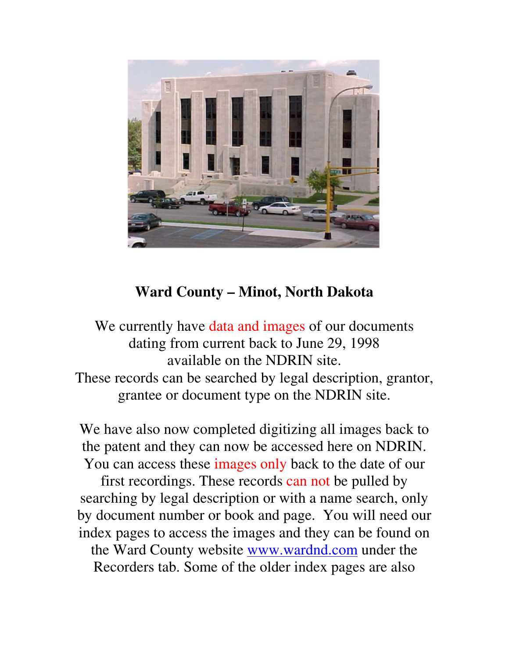

# **Ward County – Minot, North Dakota**

We currently have data and images of our documents dating from current back to June 29, 1998 available on the NDRIN site. These records can be searched by legal description, grantor, grantee or document type on the NDRIN site.

We have also now completed digitizing all images back to the patent and they can now be accessed here on NDRIN. You can access these images only back to the date of our first recordings. These records can not be pulled by searching by legal description or with a name search, only by document number or book and page. You will need our index pages to access the images and they can be found on

the Ward County website www.wardnd.com under the Recorders tab. Some of the older index pages are also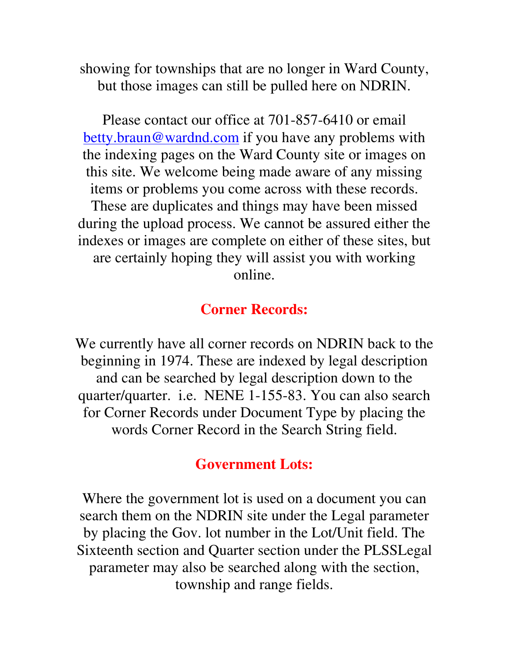showing for townships that are no longer in Ward County, but those images can still be pulled here on NDRIN.

Please contact our office at 701-857-6410 or email betty.braun@wardnd.com if you have any problems with the indexing pages on the Ward County site or images on this site. We welcome being made aware of any missing items or problems you come across with these records. These are duplicates and things may have been missed during the upload process. We cannot be assured either the indexes or images are complete on either of these sites, but are certainly hoping they will assist you with working online.

#### **Corner Records:**

We currently have all corner records on NDRIN back to the beginning in 1974. These are indexed by legal description and can be searched by legal description down to the quarter/quarter. i.e. NENE 1-155-83. You can also search for Corner Records under Document Type by placing the words Corner Record in the Search String field.

### **Government Lots:**

Where the government lot is used on a document you can search them on the NDRIN site under the Legal parameter by placing the Gov. lot number in the Lot/Unit field. The Sixteenth section and Quarter section under the PLSSLegal parameter may also be searched along with the section, township and range fields.